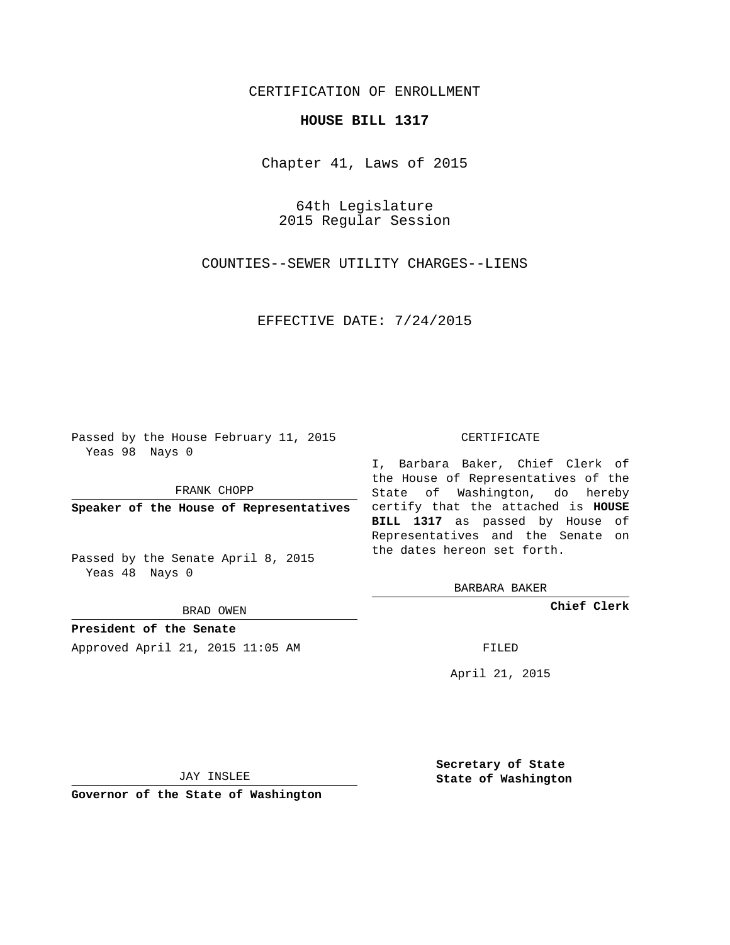## CERTIFICATION OF ENROLLMENT

## **HOUSE BILL 1317**

Chapter 41, Laws of 2015

64th Legislature 2015 Regular Session

COUNTIES--SEWER UTILITY CHARGES--LIENS

EFFECTIVE DATE: 7/24/2015

Passed by the House February 11, 2015 Yeas 98 Nays 0

FRANK CHOPP

Passed by the Senate April 8, 2015 Yeas 48 Nays 0

BRAD OWEN

**President of the Senate**

Approved April 21, 2015 11:05 AM FILED

## CERTIFICATE

**Speaker of the House of Representatives** certify that the attached is **HOUSE** I, Barbara Baker, Chief Clerk of the House of Representatives of the State of Washington, do hereby **BILL 1317** as passed by House of Representatives and the Senate on the dates hereon set forth.

BARBARA BAKER

**Chief Clerk**

April 21, 2015

JAY INSLEE

**Governor of the State of Washington**

**Secretary of State State of Washington**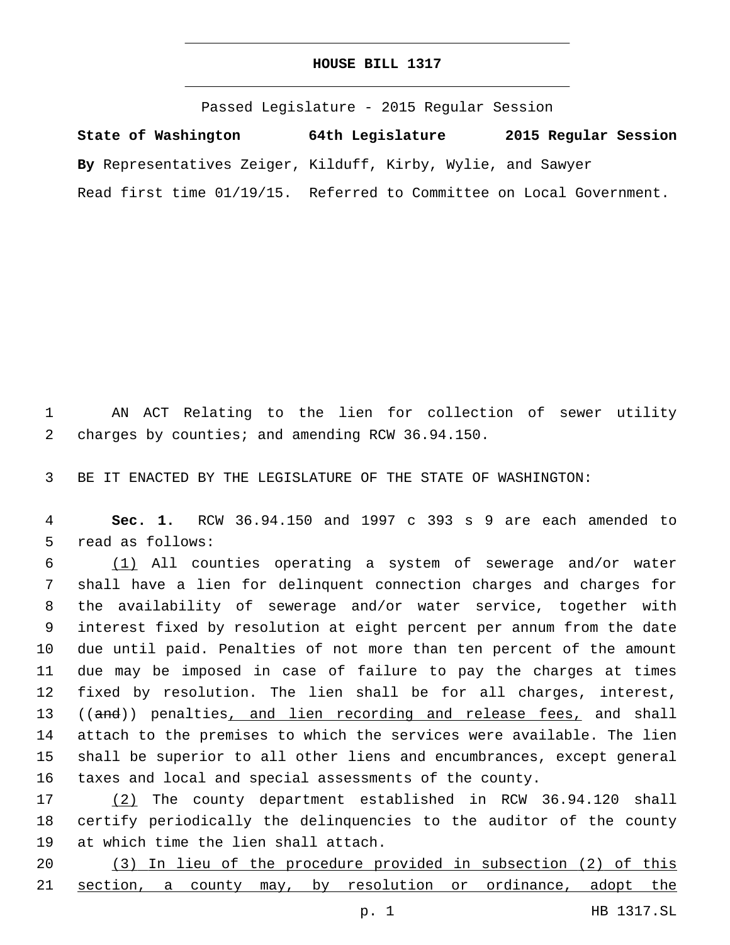## **HOUSE BILL 1317**

Passed Legislature - 2015 Regular Session **State of Washington 64th Legislature 2015 Regular Session By** Representatives Zeiger, Kilduff, Kirby, Wylie, and Sawyer Read first time 01/19/15. Referred to Committee on Local Government.

1 AN ACT Relating to the lien for collection of sewer utility 2 charges by counties; and amending RCW 36.94.150.

3 BE IT ENACTED BY THE LEGISLATURE OF THE STATE OF WASHINGTON:

4 **Sec. 1.** RCW 36.94.150 and 1997 c 393 s 9 are each amended to 5 read as follows:

 (1) All counties operating a system of sewerage and/or water shall have a lien for delinquent connection charges and charges for the availability of sewerage and/or water service, together with interest fixed by resolution at eight percent per annum from the date due until paid. Penalties of not more than ten percent of the amount due may be imposed in case of failure to pay the charges at times fixed by resolution. The lien shall be for all charges, interest, 13 ((and)) penalties, and lien recording and release fees, and shall attach to the premises to which the services were available. The lien shall be superior to all other liens and encumbrances, except general taxes and local and special assessments of the county.

17 (2) The county department established in RCW 36.94.120 shall 18 certify periodically the delinquencies to the auditor of the county 19 at which time the lien shall attach.

20 (3) In lieu of the procedure provided in subsection (2) of this 21 section, a county may, by resolution or ordinance, adopt the